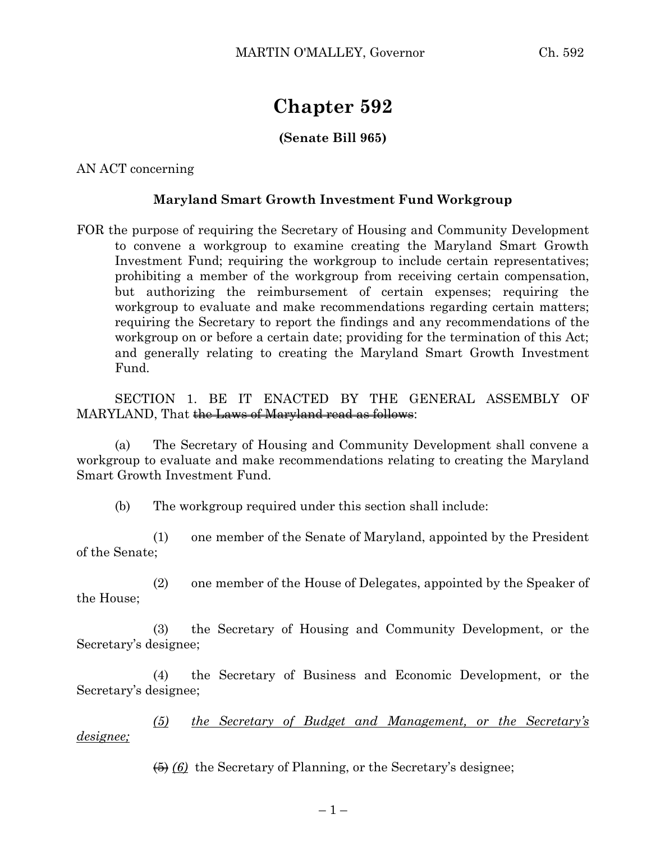## **Chapter 592**

## **(Senate Bill 965)**

AN ACT concerning

## **Maryland Smart Growth Investment Fund Workgroup**

FOR the purpose of requiring the Secretary of Housing and Community Development to convene a workgroup to examine creating the Maryland Smart Growth Investment Fund; requiring the workgroup to include certain representatives; prohibiting a member of the workgroup from receiving certain compensation, but authorizing the reimbursement of certain expenses; requiring the workgroup to evaluate and make recommendations regarding certain matters; requiring the Secretary to report the findings and any recommendations of the workgroup on or before a certain date; providing for the termination of this Act; and generally relating to creating the Maryland Smart Growth Investment Fund.

SECTION 1. BE IT ENACTED BY THE GENERAL ASSEMBLY OF MARYLAND, That the Laws of Maryland read as follows:

(a) The Secretary of Housing and Community Development shall convene a workgroup to evaluate and make recommendations relating to creating the Maryland Smart Growth Investment Fund.

(b) The workgroup required under this section shall include:

(1) one member of the Senate of Maryland, appointed by the President of the Senate;

(2) one member of the House of Delegates, appointed by the Speaker of the House;

(3) the Secretary of Housing and Community Development, or the Secretary's designee;

(4) the Secretary of Business and Economic Development, or the Secretary's designee;

*(5) the Secretary of Budget and Management, or the Secretary's designee;*

(5) *(6)* the Secretary of Planning, or the Secretary's designee;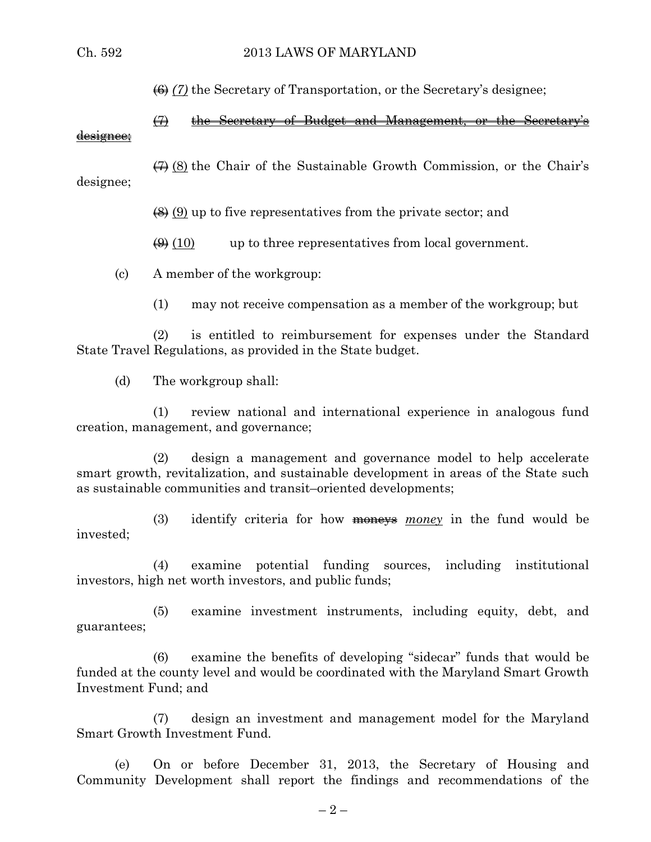(6) *(7)* the Secretary of Transportation, or the Secretary's designee;

(7) the Secretary of Budget and Management, or the Secretary's designee;

 $\leftrightarrow$  (8) the Chair of the Sustainable Growth Commission, or the Chair's designee;

 $(8)$  (9) up to five representatives from the private sector; and

 $\left(\frac{1}{2}\right)$  (10) up to three representatives from local government.

(c) A member of the workgroup:

(1) may not receive compensation as a member of the workgroup; but

(2) is entitled to reimbursement for expenses under the Standard State Travel Regulations, as provided in the State budget.

(d) The workgroup shall:

(1) review national and international experience in analogous fund creation, management, and governance;

(2) design a management and governance model to help accelerate smart growth, revitalization, and sustainable development in areas of the State such as sustainable communities and transit–oriented developments;

(3) identify criteria for how **money** *money* in the fund would be invested;

(4) examine potential funding sources, including institutional investors, high net worth investors, and public funds;

(5) examine investment instruments, including equity, debt, and guarantees;

(6) examine the benefits of developing "sidecar" funds that would be funded at the county level and would be coordinated with the Maryland Smart Growth Investment Fund; and

(7) design an investment and management model for the Maryland Smart Growth Investment Fund.

(e) On or before December 31, 2013, the Secretary of Housing and Community Development shall report the findings and recommendations of the